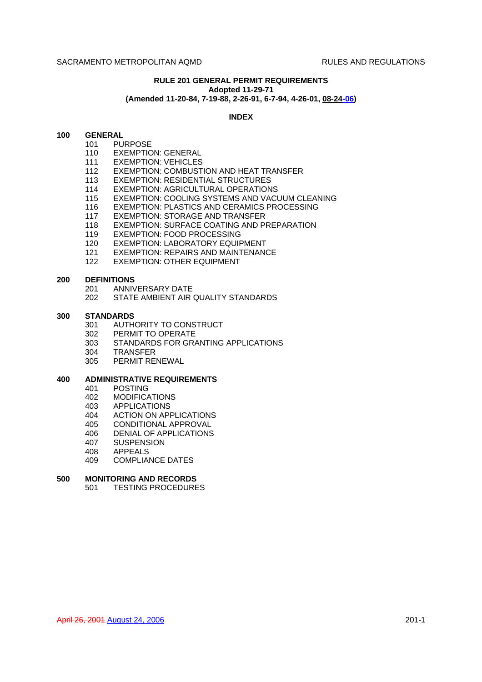# **RULE 201 GENERAL PERMIT REQUIREMENTS Adopted 11-29-71 (Amended 11-20-84, 7-19-88, 2-26-91, 6-7-94, 4-26-01, 08-24-06)**

# **INDEX**

# **100 GENERAL**

- 101 PURPOSE
	- 110 EXEMPTION: GENERAL
	- 111 EXEMPTION: VEHICLES
	- 112 EXEMPTION: COMBUSTION AND HEAT TRANSFER
	- 113 EXEMPTION: RESIDENTIAL STRUCTURES
	- 114 EXEMPTION: AGRICULTURAL OPERATIONS
	- 115 EXEMPTION: COOLING SYSTEMS AND VACUUM CLEANING
	- 116 EXEMPTION: PLASTICS AND CERAMICS PROCESSING
	- 117 EXEMPTION: STORAGE AND TRANSFER
	- 118 EXEMPTION: SURFACE COATING AND PREPARATION
	- 119 EXEMPTION: FOOD PROCESSING
	- 120 EXEMPTION: LABORATORY EQUIPMENT
	- 121 EXEMPTION: REPAIRS AND MAINTENANCE
	- 122 EXEMPTION: OTHER EQUIPMENT

#### **200 DEFINITIONS**

- 201 ANNIVERSARY DATE
- 202 STATE AMBIENT AIR QUALITY STANDARDS

#### **300 STANDARDS**

- 301 AUTHORITY TO CONSTRUCT
- 302 PERMIT TO OPERATE
- 303 STANDARDS FOR GRANTING APPLICATIONS
- 304 TRANSFER
- 305 PERMIT RENEWAL

#### **400 ADMINISTRATIVE REQUIREMENTS**

- 401 POSTING
- 402 MODIFICATIONS
- 403 APPLICATIONS
- 404 ACTION ON APPLICATIONS
- 405 CONDITIONAL APPROVAL
- 406 DENIAL OF APPLICATIONS
- 407 SUSPENSION
- 408 APPEALS
- 409 COMPLIANCE DATES

# **500 MONITORING AND RECORDS**

501 TESTING PROCEDURES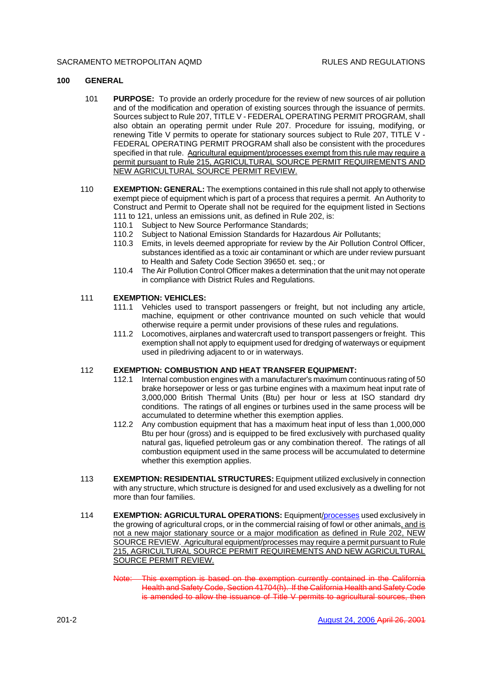# **100 GENERAL**

- 101 **PURPOSE:** To provide an orderly procedure for the review of new sources of air pollution and of the modification and operation of existing sources through the issuance of permits. Sources subject to Rule 207, TITLE V - FEDERAL OPERATING PERMIT PROGRAM, shall also obtain an operating permit under Rule 207. Procedure for issuing, modifying, or renewing Title V permits to operate for stationary sources subject to Rule 207, TITLE V - FEDERAL OPERATING PERMIT PROGRAM shall also be consistent with the procedures specified in that rule. Agricultural equipment/processes exempt from this rule may require a permit pursuant to Rule 215, AGRICULTURAL SOURCE PERMIT REQUIREMENTS AND NEW AGRICULTURAL SOURCE PERMIT REVIEW.
- 110 **EXEMPTION: GENERAL:** The exemptions contained in this rule shall not apply to otherwise exempt piece of equipment which is part of a process that requires a permit. An Authority to Construct and Permit to Operate shall not be required for the equipment listed in Sections 111 to 121, unless an emissions unit, as defined in Rule 202, is:
	- 110.1 Subject to New Source Performance Standards:
	- 110.2 Subject to National Emission Standards for Hazardous Air Pollutants;
	- 110.3 Emits, in levels deemed appropriate for review by the Air Pollution Control Officer, substances identified as a toxic air contaminant or which are under review pursuant to Health and Safety Code Section 39650 et. seq.; or
	- 110.4 The Air Pollution Control Officer makes a determination that the unit may not operate in compliance with District Rules and Regulations.

#### 111 **EXEMPTION: VEHICLES:**

- 111.1 Vehicles used to transport passengers or freight, but not including any article, machine, equipment or other contrivance mounted on such vehicle that would otherwise require a permit under provisions of these rules and regulations.
- 111.2 Locomotives, airplanes and watercraft used to transport passengers or freight. This exemption shall not apply to equipment used for dredging of waterways or equipment used in piledriving adjacent to or in waterways.

#### 112 **EXEMPTION: COMBUSTION AND HEAT TRANSFER EQUIPMENT:**

- 112.1 Internal combustion engines with a manufacturer's maximum continuous rating of 50 brake horsepower or less or gas turbine engines with a maximum heat input rate of 3,000,000 British Thermal Units (Btu) per hour or less at ISO standard dry conditions. The ratings of all engines or turbines used in the same process will be accumulated to determine whether this exemption applies.
- 112.2 Any combustion equipment that has a maximum heat input of less than 1,000,000 Btu per hour (gross) and is equipped to be fired exclusively with purchased quality natural gas, liquefied petroleum gas or any combination thereof. The ratings of all combustion equipment used in the same process will be accumulated to determine whether this exemption applies.
- 113 **EXEMPTION: RESIDENTIAL STRUCTURES:** Equipment utilized exclusively in connection with any structure, which structure is designed for and used exclusively as a dwelling for not more than four families.
- 114 **EXEMPTION: AGRICULTURAL OPERATIONS:** Equipment/processes used exclusively in the growing of agricultural crops, or in the commercial raising of fowl or other animals, and is not a new major stationary source or a major modification as defined in Rule 202, NEW SOURCE REVIEW. Agricultural equipment/processes may require a permit pursuant to Rule 215, AGRICULTURAL SOURCE PERMIT REQUIREMENTS AND NEW AGRICULTURAL SOURCE PERMIT REVIEW.
	- Note: This exemption is based on the exemption currently contained in the California Health and Safety Code, Section 41704(h). If the California Health and Safety Code is amended to allow the issuance of Title V permits to agricultural sources, then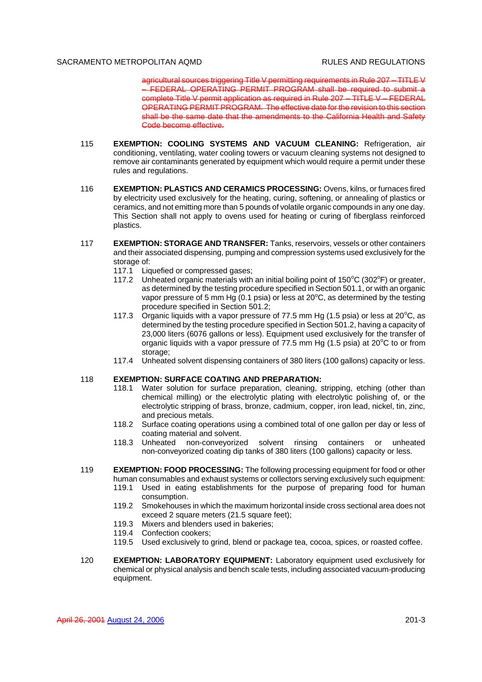agricultural sources triggering Title V permitting requirements in Rule 207 – TITLE V – FEDERAL OPERATING PERMIT PROGRAM shall be required to submit a complete Title V permit application as required in Rule 207 – TITLE V – FEDERAL OPERATING PERMIT PROGRAM. The effective date for the revision to this section shall be the same date that the amendments to the California Health and Safety Code become effective.

- 115 **EXEMPTION: COOLING SYSTEMS AND VACUUM CLEANING:** Refrigeration, air conditioning, ventilating, water cooling towers or vacuum cleaning systems not designed to remove air contaminants generated by equipment which would require a permit under these rules and regulations.
- 116 **EXEMPTION: PLASTICS AND CERAMICS PROCESSING:** Ovens, kilns, or furnaces fired by electricity used exclusively for the heating, curing, softening, or annealing of plastics or ceramics, and not emitting more than 5 pounds of volatile organic compounds in any one day. This Section shall not apply to ovens used for heating or curing of fiberglass reinforced plastics.
- 117 **EXEMPTION: STORAGE AND TRANSFER:** Tanks, reservoirs, vessels or other containers and their associated dispensing, pumping and compression systems used exclusively for the storage of:
	- 117.1 Liquefied or compressed gases;
	- 117.2 Unheated organic materials with an initial boiling point of  $150^{\circ}$ C (302 $^{\circ}$ F) or greater, as determined by the testing procedure specified in Section 501.1, or with an organic vapor pressure of 5 mm Hg (0.1 psia) or less at  $20^{\circ}$ C, as determined by the testing procedure specified in Section 501.2;
	- 117.3 Organic liquids with a vapor pressure of 77.5 mm Hg (1.5 psia) or less at  $20^{\circ}$ C, as determined by the testing procedure specified in Section 501.2, having a capacity of 23,000 liters (6076 gallons or less). Equipment used exclusively for the transfer of organic liquids with a vapor pressure of 77.5 mm Hg  $(1.5 \text{ psia})$  at 20 $\textdegree$ C to or from storage:
	- 117.4 Unheated solvent dispensing containers of 380 liters (100 gallons) capacity or less.

# 118 **EXEMPTION: SURFACE COATING AND PREPARATION:**

- 118.1 Water solution for surface preparation, cleaning, stripping, etching (other than chemical milling) or the electrolytic plating with electrolytic polishing of, or the electrolytic stripping of brass, bronze, cadmium, copper, iron lead, nickel, tin, zinc, and precious metals.
- 118.2 Surface coating operations using a combined total of one gallon per day or less of coating material and solvent.
- 118.3 Unheated non-conveyorized solvent rinsing containers or unheated non-conveyorized coating dip tanks of 380 liters (100 gallons) capacity or less.
- 119 **EXEMPTION: FOOD PROCESSING:** The following processing equipment for food or other human consumables and exhaust systems or collectors serving exclusively such equipment:
	- 119.1 Used in eating establishments for the purpose of preparing food for human consumption.
	- 119.2 Smokehouses in which the maximum horizontal inside cross sectional area does not exceed 2 square meters (21.5 square feet);
	- 119.3 Mixers and blenders used in bakeries;
	- 119.4 Confection cookers;
	- 119.5 Used exclusively to grind, blend or package tea, cocoa, spices, or roasted coffee.
- 120 **EXEMPTION: LABORATORY EQUIPMENT:** Laboratory equipment used exclusively for chemical or physical analysis and bench scale tests, including associated vacuum-producing equipment.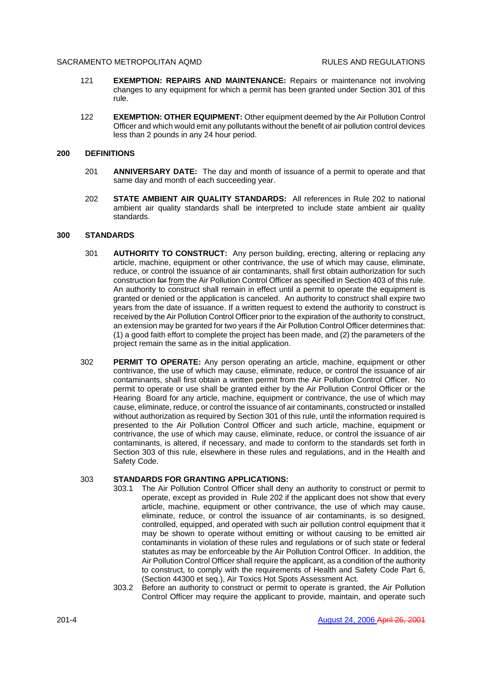- 121 **EXEMPTION: REPAIRS AND MAINTENANCE:** Repairs or maintenance not involving changes to any equipment for which a permit has been granted under Section 301 of this rule.
- 122 **EXEMPTION: OTHER EQUIPMENT:** Other equipment deemed by the Air Pollution Control Officer and which would emit any pollutants without the benefit of air pollution control devices less than 2 pounds in any 24 hour period.

# **200 DEFINITIONS**

- 201 **ANNIVERSARY DATE:** The day and month of issuance of a permit to operate and that same day and month of each succeeding year.
- 202 **STATE AMBIENT AIR QUALITY STANDARDS:** All references in Rule 202 to national ambient air quality standards shall be interpreted to include state ambient air quality standards.

# **300 STANDARDS**

- 301 **AUTHORITY TO CONSTRUCT:** Any person building, erecting, altering or replacing any article, machine, equipment or other contrivance, the use of which may cause, eliminate, reduce, or control the issuance of air contaminants, shall first obtain authorization for such construction for from the Air Pollution Control Officer as specified in Section 403 of this rule. An authority to construct shall remain in effect until a permit to operate the equipment is granted or denied or the application is canceled. An authority to construct shall expire two years from the date of issuance. If a written request to extend the authority to construct is received by the Air Pollution Control Officer prior to the expiration of the authority to construct, an extension may be granted for two years if the Air Pollution Control Officer determines that: (1) a good faith effort to complete the project has been made, and (2) the parameters of the project remain the same as in the initial application.
- 302 **PERMIT TO OPERATE:** Any person operating an article, machine, equipment or other contrivance, the use of which may cause, eliminate, reduce, or control the issuance of air contaminants, shall first obtain a written permit from the Air Pollution Control Officer. No permit to operate or use shall be granted either by the Air Pollution Control Officer or the Hearing Board for any article, machine, equipment or contrivance, the use of which may cause, eliminate, reduce, or control the issuance of air contaminants, constructed or installed without authorization as required by Section 301 of this rule, until the information required is presented to the Air Pollution Control Officer and such article, machine, equipment or contrivance, the use of which may cause, eliminate, reduce, or control the issuance of air contaminants, is altered, if necessary, and made to conform to the standards set forth in Section 303 of this rule, elsewhere in these rules and regulations, and in the Health and Safety Code.

#### 303 **STANDARDS FOR GRANTING APPLICATIONS:**

- 303.1 The Air Pollution Control Officer shall deny an authority to construct or permit to operate, except as provided in Rule 202 if the applicant does not show that every article, machine, equipment or other contrivance, the use of which may cause, eliminate, reduce, or control the issuance of air contaminants, is so designed, controlled, equipped, and operated with such air pollution control equipment that it may be shown to operate without emitting or without causing to be emitted air contaminants in violation of these rules and regulations or of such state or federal statutes as may be enforceable by the Air Pollution Control Officer. In addition, the Air Pollution Control Officer shall require the applicant, as a condition of the authority to construct, to comply with the requirements of Health and Safety Code Part 6, (Section 44300 et seq.), Air Toxics Hot Spots Assessment Act.
- 303.2 Before an authority to construct or permit to operate is granted, the Air Pollution Control Officer may require the applicant to provide, maintain, and operate such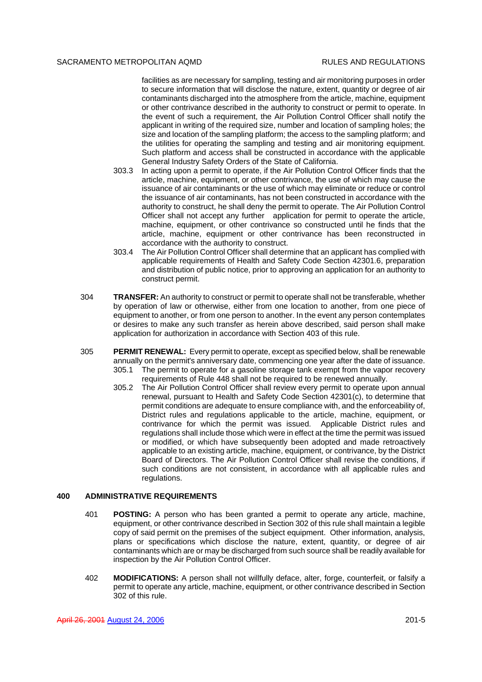facilities as are necessary for sampling, testing and air monitoring purposes in order to secure information that will disclose the nature, extent, quantity or degree of air contaminants discharged into the atmosphere from the article, machine, equipment or other contrivance described in the authority to construct or permit to operate. In the event of such a requirement, the Air Pollution Control Officer shall notify the applicant in writing of the required size, number and location of sampling holes; the size and location of the sampling platform; the access to the sampling platform; and the utilities for operating the sampling and testing and air monitoring equipment. Such platform and access shall be constructed in accordance with the applicable General Industry Safety Orders of the State of California.

- 303.3 In acting upon a permit to operate, if the Air Pollution Control Officer finds that the article, machine, equipment, or other contrivance, the use of which may cause the issuance of air contaminants or the use of which may eliminate or reduce or control the issuance of air contaminants, has not been constructed in accordance with the authority to construct, he shall deny the permit to operate. The Air Pollution Control Officer shall not accept any further application for permit to operate the article, machine, equipment, or other contrivance so constructed until he finds that the article, machine, equipment or other contrivance has been reconstructed in accordance with the authority to construct.
- 303.4 The Air Pollution Control Officer shall determine that an applicant has complied with applicable requirements of Health and Safety Code Section 42301.6, preparation and distribution of public notice, prior to approving an application for an authority to construct permit.
- 304 **TRANSFER:** An authority to construct or permit to operate shall not be transferable, whether by operation of law or otherwise, either from one location to another, from one piece of equipment to another, or from one person to another. In the event any person contemplates or desires to make any such transfer as herein above described, said person shall make application for authorization in accordance with Section 403 of this rule.
- 305 **PERMIT RENEWAL:** Every permit to operate, except as specified below, shall be renewable annually on the permit's anniversary date, commencing one year after the date of issuance. 305.1 The permit to operate for a gasoline storage tank exempt from the vapor recovery requirements of Rule 448 shall not be required to be renewed annually.
	- 305.2 The Air Pollution Control Officer shall review every permit to operate upon annual renewal, pursuant to Health and Safety Code Section 42301(c), to determine that permit conditions are adequate to ensure compliance with, and the enforceability of, District rules and regulations applicable to the article, machine, equipment, or contrivance for which the permit was issued. Applicable District rules and regulations shall include those which were in effect at the time the permit was issued or modified, or which have subsequently been adopted and made retroactively applicable to an existing article, machine, equipment, or contrivance, by the District Board of Directors. The Air Pollution Control Officer shall revise the conditions, if such conditions are not consistent, in accordance with all applicable rules and regulations.

# **400 ADMINISTRATIVE REQUIREMENTS**

- 401 **POSTING:** A person who has been granted a permit to operate any article, machine, equipment, or other contrivance described in Section 302 of this rule shall maintain a legible copy of said permit on the premises of the subject equipment. Other information, analysis, plans or specifications which disclose the nature, extent, quantity, or degree of air contaminants which are or may be discharged from such source shall be readily available for inspection by the Air Pollution Control Officer.
- 402 **MODIFICATIONS:** A person shall not willfully deface, alter, forge, counterfeit, or falsify a permit to operate any article, machine, equipment, or other contrivance described in Section 302 of this rule.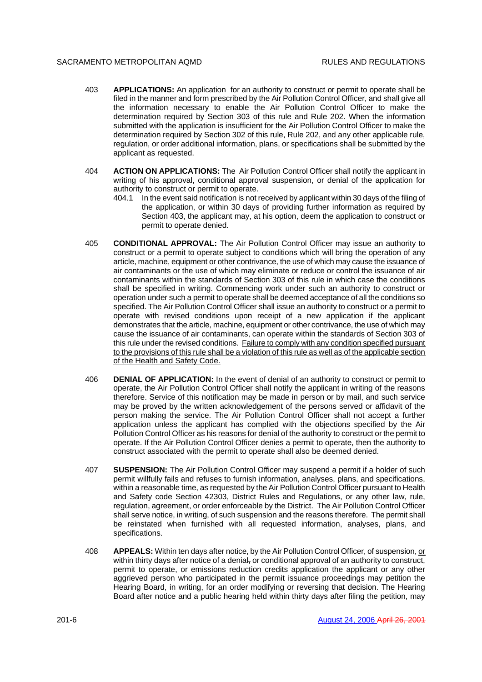- 403 **APPLICATIONS:** An application for an authority to construct or permit to operate shall be filed in the manner and form prescribed by the Air Pollution Control Officer, and shall give all the information necessary to enable the Air Pollution Control Officer to make the determination required by Section 303 of this rule and Rule 202. When the information submitted with the application is insufficient for the Air Pollution Control Officer to make the determination required by Section 302 of this rule, Rule 202, and any other applicable rule, regulation, or order additional information, plans, or specifications shall be submitted by the applicant as requested.
- 404 **ACTION ON APPLICATIONS:** The Air Pollution Control Officer shall notify the applicant in writing of his approval, conditional approval suspension, or denial of the application for authority to construct or permit to operate.
	- 404.1 In the event said notification is not received by applicant within 30 days of the filing of the application, or within 30 days of providing further information as required by Section 403, the applicant may, at his option, deem the application to construct or permit to operate denied.
- 405 **CONDITIONAL APPROVAL:** The Air Pollution Control Officer may issue an authority to construct or a permit to operate subject to conditions which will bring the operation of any article, machine, equipment or other contrivance, the use of which may cause the issuance of air contaminants or the use of which may eliminate or reduce or control the issuance of air contaminants within the standards of Section 303 of this rule in which case the conditions shall be specified in writing. Commencing work under such an authority to construct or operation under such a permit to operate shall be deemed acceptance of all the conditions so specified. The Air Pollution Control Officer shall issue an authority to construct or a permit to operate with revised conditions upon receipt of a new application if the applicant demonstrates that the article, machine, equipment or other contrivance, the use of which may cause the issuance of air contaminants, can operate within the standards of Section 303 of this rule under the revised conditions. Failure to comply with any condition specified pursuant to the provisions of this rule shall be a violation of this rule as well as of the applicable section of the Health and Safety Code.
- 406 **DENIAL OF APPLICATION:** In the event of denial of an authority to construct or permit to operate, the Air Pollution Control Officer shall notify the applicant in writing of the reasons therefore. Service of this notification may be made in person or by mail, and such service may be proved by the written acknowledgement of the persons served or affidavit of the person making the service. The Air Pollution Control Officer shall not accept a further application unless the applicant has complied with the objections specified by the Air Pollution Control Officer as his reasons for denial of the authority to construct or the permit to operate. If the Air Pollution Control Officer denies a permit to operate, then the authority to construct associated with the permit to operate shall also be deemed denied.
- 407 **SUSPENSION:** The Air Pollution Control Officer may suspend a permit if a holder of such permit willfully fails and refuses to furnish information, analyses, plans, and specifications, within a reasonable time, as requested by the Air Pollution Control Officer pursuant to Health and Safety code Section 42303, District Rules and Regulations, or any other law, rule, regulation, agreement, or order enforceable by the District. The Air Pollution Control Officer shall serve notice, in writing, of such suspension and the reasons therefore. The permit shall be reinstated when furnished with all requested information, analyses, plans, and specifications.
- 408 **APPEALS:** Within ten days after notice, by the Air Pollution Control Officer, of suspension, or within thirty days after notice of a denial, or conditional approval of an authority to construct, permit to operate, or emissions reduction credits application the applicant or any other aggrieved person who participated in the permit issuance proceedings may petition the Hearing Board, in writing, for an order modifying or reversing that decision. The Hearing Board after notice and a public hearing held within thirty days after filing the petition, may